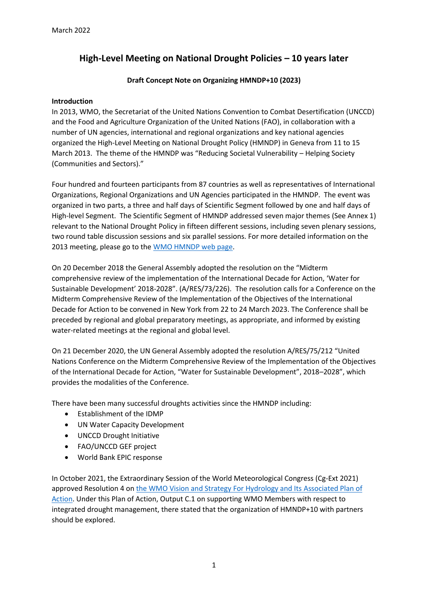# **High-Level Meeting on National Drought Policies – 10 years later**

## **Draft Concept Note on Organizing HMNDP+10 (2023)**

### **Introduction**

In 2013, WMO, the Secretariat of the United Nations Convention to Combat Desertification (UNCCD) and the Food and Agriculture Organization of the United Nations (FAO), in collaboration with a number of UN agencies, international and regional organizations and key national agencies organized the High-Level Meeting on National Drought Policy (HMNDP) in Geneva from 11 to 15 March 2013. The theme of the HMNDP was "Reducing Societal Vulnerability – Helping Society (Communities and Sectors)."

Four hundred and fourteen participants from 87 countries as well as representatives of International Organizations, Regional Organizations and UN Agencies participated in the HMNDP. The event was organized in two parts, a three and half days of Scientific Segment followed by one and half days of High-level Segment. The Scientific Segment of HMNDP addressed seven major themes (See Annex 1) relevant to the National Drought Policy in fifteen different sessions, including seven plenary sessions, two round table discussion sessions and six parallel sessions. For more detailed information on the 2013 meeting, please go to the [WMO HMNDP web page.](https://community.wmo.int/meetings/high-level-meeting-national-drought-policy-hmndp)

On 20 December 2018 the General Assembly adopted the resolution on the "Midterm comprehensive review of the implementation of the International Decade for Action, 'Water for Sustainable Development' 2018-2028". (A/RES/73/226). The resolution calls for a Conference on the Midterm Comprehensive Review of the Implementation of the Objectives of the International Decade for Action to be convened in New York from 22 to 24 March 2023. The Conference shall be preceded by regional and global preparatory meetings, as appropriate, and informed by existing water-related meetings at the regional and global level.

On 21 December 2020, the UN General Assembly adopted the resolution A/RES/75/212 "United Nations Conference on the Midterm Comprehensive Review of the Implementation of the Objectives of the International Decade for Action, "Water for Sustainable Development", 2018–2028", which provides the modalities of the Conference.

There have been many successful droughts activities since the HMNDP including:

- Establishment of the IDMP
- UN Water Capacity Development
- UNCCD Drought Initiative
- FAO/UNCCD GEF project
- World Bank EPIC response

In October 2021, the Extraordinary Session of the World Meteorological Congress (Cg-Ext 2021) approved Resolution 4 o[n the WMO Vision and Strategy For Hydrology and Its Associated Plan of](https://meetings.wmo.int/Cg-Ext-2021/_layouts/15/WopiFrame.aspx?sourcedoc=/Cg-Ext-2021/English/2.%20PROVISIONAL%20REPORT%20(Approved%20documents)/Cg-Ext(2021)-d03-1-VISION-AND-STRATEGY-FOR-HYDROLOGY-approved_en.docx&action=default)  [Action.](https://meetings.wmo.int/Cg-Ext-2021/_layouts/15/WopiFrame.aspx?sourcedoc=/Cg-Ext-2021/English/2.%20PROVISIONAL%20REPORT%20(Approved%20documents)/Cg-Ext(2021)-d03-1-VISION-AND-STRATEGY-FOR-HYDROLOGY-approved_en.docx&action=default) Under this Plan of Action, Output C.1 on supporting WMO Members with respect to integrated drought management, there stated that the organization of HMNDP+10 with partners should be explored.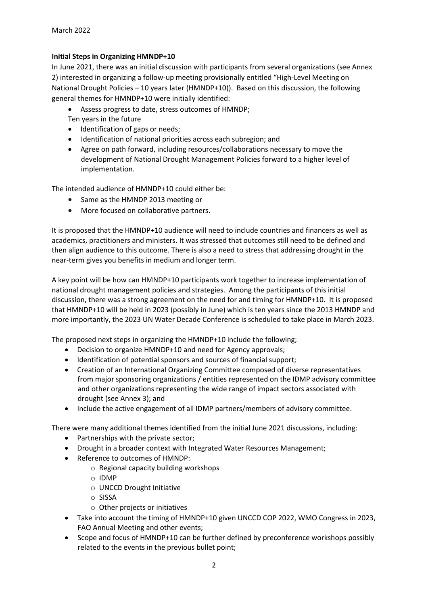### **Initial Steps in Organizing HMNDP+10**

In June 2021, there was an initial discussion with participants from several organizations (see Annex 2) interested in organizing a follow-up meeting provisionally entitled "High-Level Meeting on National Drought Policies – 10 years later (HMNDP+10)). Based on this discussion, the following general themes for HMNDP+10 were initially identified:

- Assess progress to date, stress outcomes of HMNDP;
- Ten years in the future • Identification of gaps or needs;
- Identification of national priorities across each subregion; and
- Agree on path forward, including resources/collaborations necessary to move the development of National Drought Management Policies forward to a higher level of implementation.

The intended audience of HMNDP+10 could either be:

- Same as the HMNDP 2013 meeting or
- More focused on collaborative partners.

It is proposed that the HMNDP+10 audience will need to include countries and financers as well as academics, practitioners and ministers. It was stressed that outcomes still need to be defined and then align audience to this outcome. There is also a need to stress that addressing drought in the near-term gives you benefits in medium and longer term.

A key point will be how can HMNDP+10 participants work together to increase implementation of national drought management policies and strategies. Among the participants of this initial discussion, there was a strong agreement on the need for and timing for HMNDP+10. It is proposed that HMNDP+10 will be held in 2023 (possibly in June) which is ten years since the 2013 HMNDP and more importantly, the 2023 UN Water Decade Conference is scheduled to take place in March 2023.

The proposed next steps in organizing the HMNDP+10 include the following;

- Decision to organize HMNDP+10 and need for Agency approvals;
- Identification of potential sponsors and sources of financial support;
- Creation of an International Organizing Committee composed of diverse representatives from major sponsoring organizations / entities represented on the IDMP advisory committee and other organizations representing the wide range of impact sectors associated with drought (see Annex 3); and
- Include the active engagement of all IDMP partners/members of advisory committee.

There were many additional themes identified from the initial June 2021 discussions, including:

- Partnerships with the private sector;
- Drought in a broader context with Integrated Water Resources Management;
- Reference to outcomes of HMNDP:
	- o Regional capacity building workshops
	- o IDMP
	- o UNCCD Drought Initiative
	- o SISSA
	- o Other projects or initiatives
- Take into account the timing of HMNDP+10 given UNCCD COP 2022, WMO Congress in 2023, FAO Annual Meeting and other events;
- Scope and focus of HMNDP+10 can be further defined by preconference workshops possibly related to the events in the previous bullet point;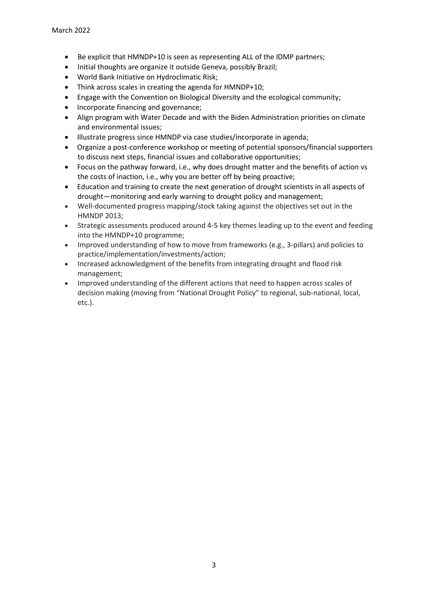- Be explicit that HMNDP+10 is seen as representing ALL of the IDMP partners;
- Initial thoughts are organize it outside Geneva, possibly Brazil;
- World Bank Initiative on Hydroclimatic Risk;
- Think across scales in creating the agenda for HMNDP+10;
- Engage with the Convention on Biological Diversity and the ecological community;
- Incorporate financing and governance;
- Align program with Water Decade and with the Biden Administration priorities on climate and environmental issues;
- Illustrate progress since HMNDP via case studies/incorporate in agenda;
- Organize a post-conference workshop or meeting of potential sponsors/financial supporters to discuss next steps, financial issues and collaborative opportunities;
- Focus on the pathway forward, i.e., why does drought matter and the benefits of action vs the costs of inaction, i.e., why you are better off by being proactive;
- Education and training to create the next generation of drought scientists in all aspects of drought—monitoring and early warning to drought policy and management;
- Well-documented progress mapping/stock taking against the objectives set out in the HMNDP 2013;
- Strategic assessments produced around 4-5 key themes leading up to the event and feeding into the HMNDP+10 programme;
- Improved understanding of how to move from frameworks (e.g., 3-pillars) and policies to practice/implementation/investments/action;
- Increased acknowledgment of the benefits from integrating drought and flood risk management;
- Improved understanding of the different actions that need to happen across scales of decision making (moving from "National Drought Policy" to regional, sub-national, local, etc.).